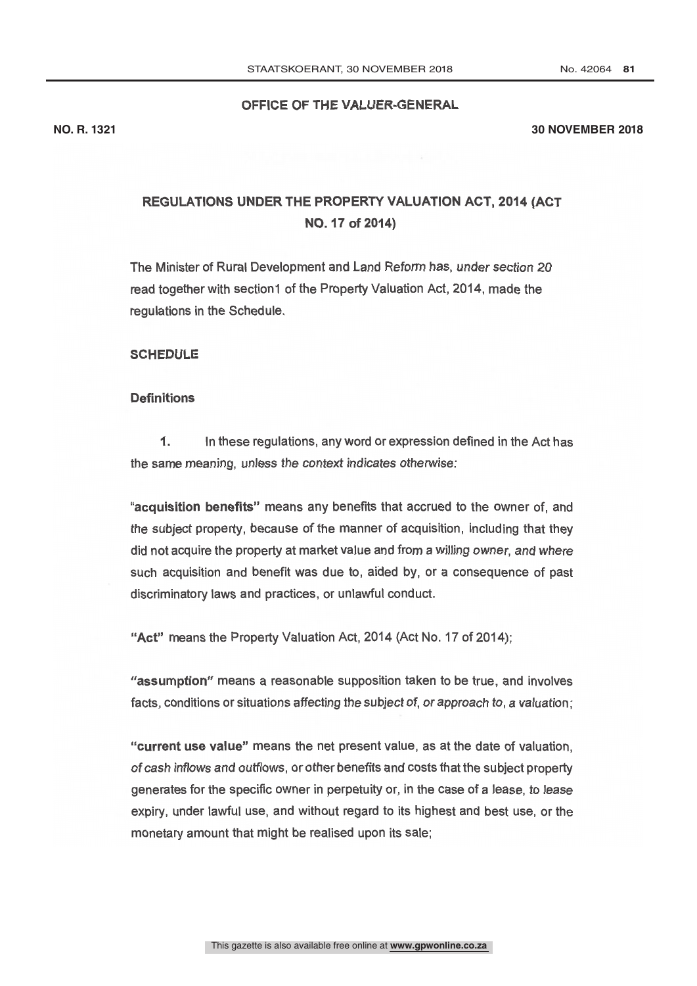## OFFICE OF THE VALUER-GENERAL

#### **NO. R. 1321 30 NOVEMBER 2018**

## REGULATIONS UNDER THE PROPERTY VALUATION ACT, 2014 (ACT NO. 17 of 2014)

The Minister of Rural Development and Land Reform has, under section 20 read together with section1 of the Property Valuation Act, 2014, made the regulations in the Schedule.

#### **SCHEDULE**

#### **Definitions**

1. In these regulations, any word or expression defined in the Act has the same meaning, unless the context indicates otherwise:

"acquisition benefits" means any benefits that accrued to the owner of, and the subject property, because of the manner of acquisition, including that they did not acquire the property at market value and from a willing owner, and where such acquisition and benefit was due to, aided by, or a consequence of past discriminatory laws and practices, or unlawful conduct.

"Act" means the Property Valuation Act, 2014 (Act No. 17 of 2014);

"assumption" means a reasonable supposition taken to be true, and involves facts, conditions or situations affecting the subject of, or approach to, a valuation;

"current use value" means the net present value, as at the date of valuation, of cash inflows and outflows, or other benefits and costs that the subject property generates for the specific owner in perpetuity or, in the case of a lease, to lease expiry, under lawful use, and without regard to its highest and best use, or the monetary amount that might be realised upon its sale;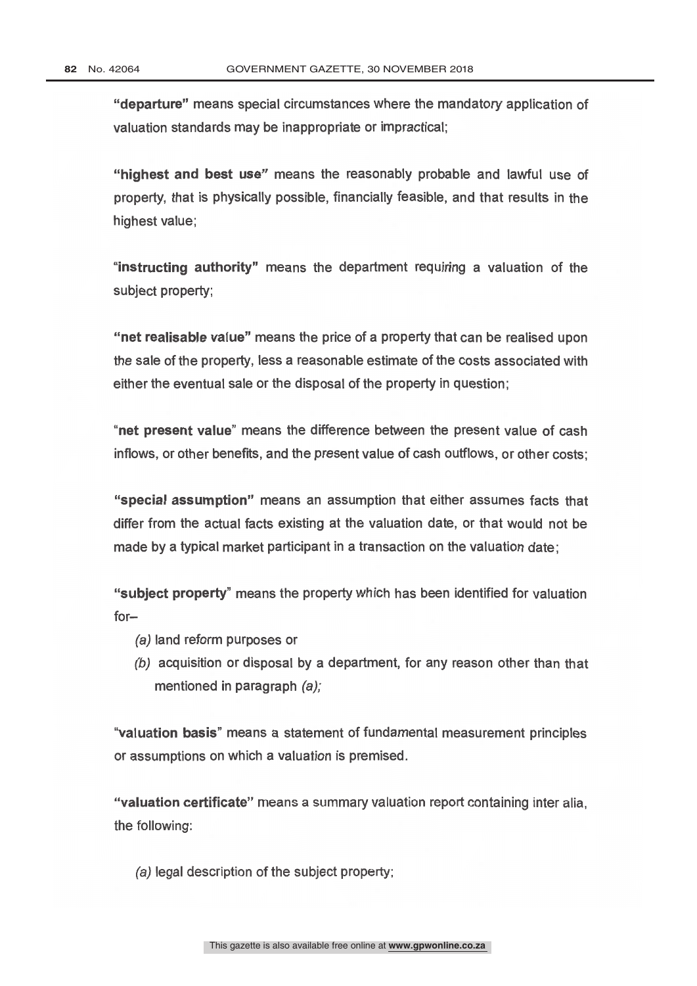"departure" means special circumstances where the mandatory application of valuation standards may be inappropriate or impractical;

"highest and best use" means the reasonably probable and lawful use of property, that is physically possible, financially feasible, and that results in the highest value:

"instructing authority" means the department requiring a valuation of the subject property;

"net realisable value" means the price of a property that can be realised upon the sale of the property, less a reasonable estimate of the costs associated with either the eventual sale or the disposal of the property in question;

"net present value" means the difference between the present value of cash inflows, or other benefits, and the present value of cash outflows, or other costs;

"special assumption" means an assumption that either assumes facts that differ from the actual facts existing at the valuation date, or that would not be made by a typical market participant in a transaction on the valuation date;

"subject property" means the property which has been identified for valuation for-

- (a) land reform purposes or
- (b) acquisition or disposal by a department, for any reason other than that mentioned in paragraph (a);

"valuation basis" means a statement of fundamental measurement principles or assumptions on which a valuation is premised.

"valuation certificate" means a summary valuation report containing inter alia. the following:

(a) legal description of the subject property;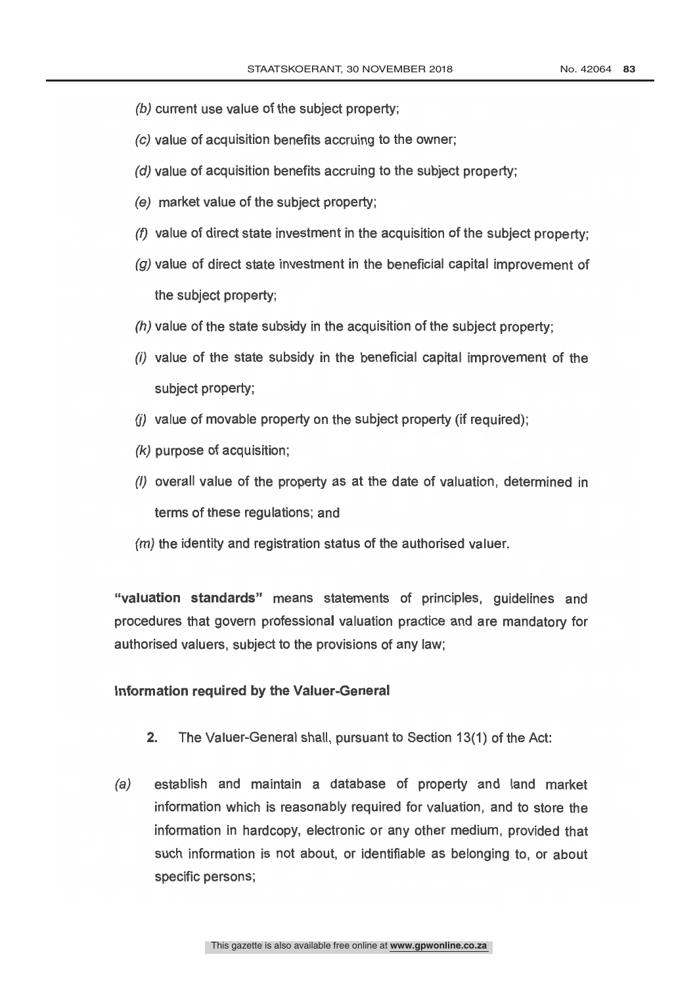- (b) current use value of the subject property;
- (c) value of acquisition benefits accruing to the owner;
- (d) value of acquisition benefits accruing to the subject property;
- (e) market value of the subject property;
- (f) value of direct state investment in the acquisition of the subject property;
- $(q)$  value of direct state investment in the beneficial capital improvement of the subject property;
- (h) value of the state subsidy in the acquisition of the subject property;
- (i) value of the state subsidy in the beneficial capital improvement of the subject property;
- $(i)$  value of movable property on the subject property (if required);
- (k) purpose of acquisition;
- terms of these regulations; and  $(1)$  overall value of the property as at the date of valuation, determined in
- (*m*) the identity and registration status of the authorised valuer.

"valuation standards" means statements of principles, guidelines and procedures that govern professional valuation practice and are mandatory for authorised valuers, subject to the provisions of any law;

#### Information required by the Valuer -General

- 2. The Valuer-General shall, pursuant to Section 13(1) of the Act:
- (a) establish and maintain a database of property and land market information which is reasonably required for valuation, and to store the information in hardcopy, electronic or any other medium, provided that such information is not about, or identifiable as belonging to, or about specific persons;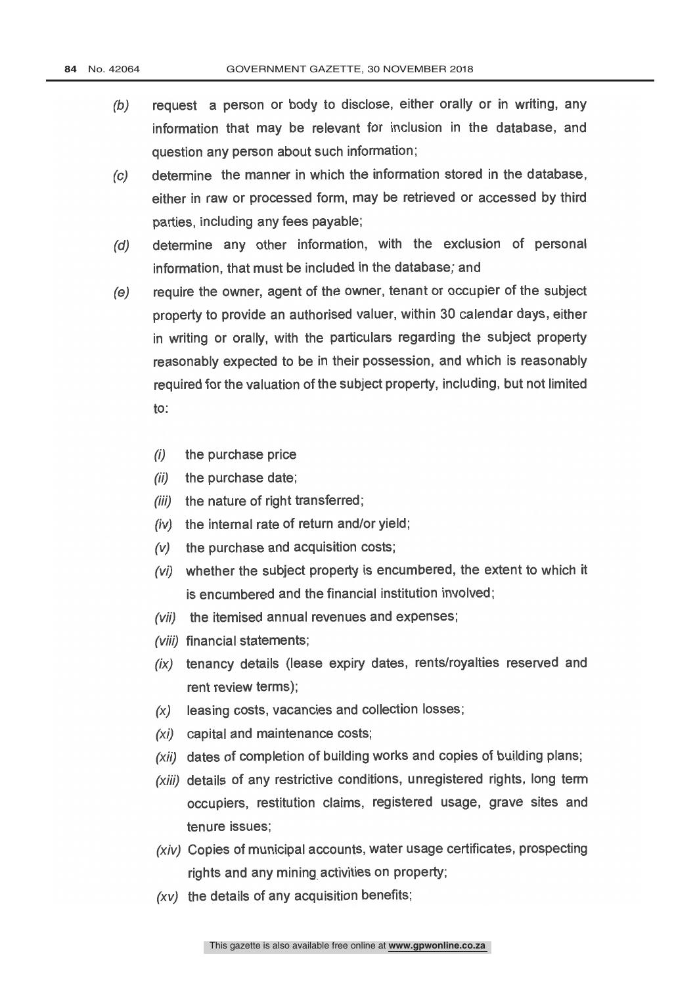- (b) request a person or body to disclose, either orally or in writing, any information that may be relevant for inclusion in the database, and question any person about such information;
- (c) determine the manner in which the information stored in the database, either in raw or processed form, may be retrieved or accessed by third parties, including any fees payable;
- (d) determine any other information, with the exclusion of personal information, that must be included in the database; and
- (e) require the owner, agent of the owner, tenant or occupier of the subject property to provide an authorised valuer, within 30 calendar days, either in writing or orally, with the particulars regarding the subject property reasonably expected to be in their possession, and which is reasonably required for the valuation of the subject property, including, but not limited to:
	- (i) the purchase price
	- (ii) the purchase date;
	- (iii) the nature of right transferred;
	- $(iv)$  the internal rate of return and/or yield;
	- (y) the purchase and acquisition costs;
	- (vi) whether the subject property is encumbered, the extent to which it is encumbered and the financial institution involved;
	- (vii) the itemised annual revenues and expenses;
	- (viii) financial statements;
	- $(ix)$  tenancy details (lease expiry dates, rents/royalties reserved and rent review terms);
	- $(x)$  leasing costs, vacancies and collection losses;
	- (xi) capital and maintenance costs;
	- (xii) dates of completion of building works and copies of building plans;
	- $(xiii)$  details of any restrictive conditions, unregistered rights, long term occupiers, restitution claims, registered usage, grave sites and tenure issues;
	- (xiv) Copies of municipal accounts, water usage certificates, prospecting rights and any mining activities on property;
	- $(xv)$  the details of any acquisition benefits;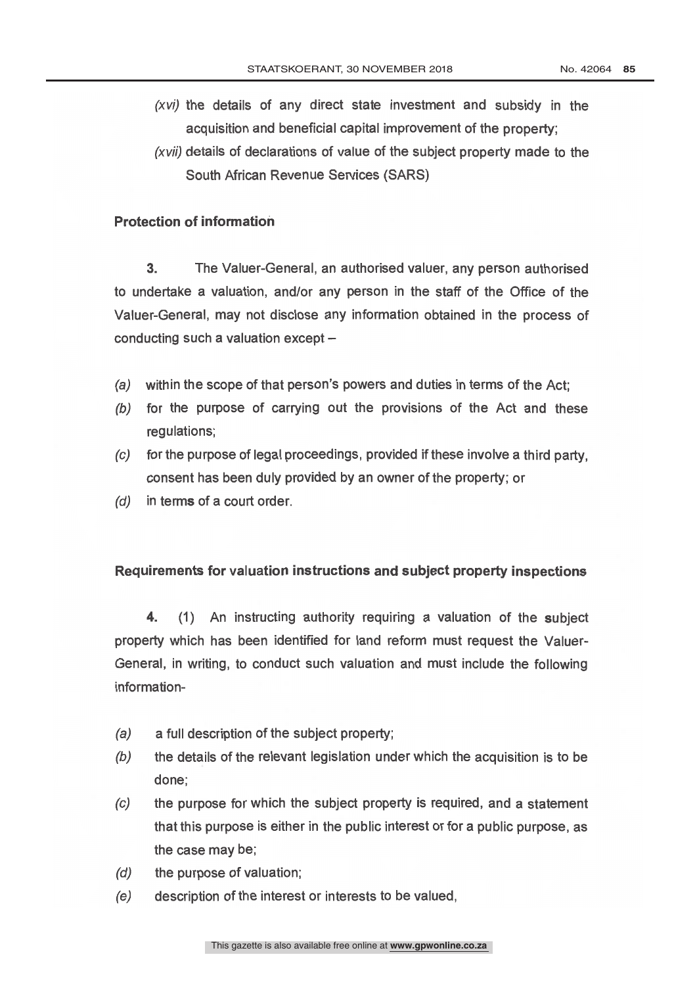- (xvi) the details of any direct state investment and subsidy in the acquisition and beneficial capital improvement of the property;
- (xvii) details of declarations of value of the subject property made to the South African Revenue Services (SARS)

### Protection of information

3. The Valuer -General, an authorised valuer, any person authorised to undertake a valuation, and/or any person in the staff of the Office of the Valuer -General, may not disclose any information obtained in the process of conducting such a valuation except  $-$ 

- (a) within the scope of that person's powers and duties in terms of the Act;
- (b) for the purpose of carrying out the provisions of the Act and these regulations;
- (c) for the purpose of legal proceedings, provided if these involve a third party, consent has been duly provided by an owner of the property; or
- (d) in terms of a court order.

### Requirements for valuation instructions and subject property inspections

4. (1) An instructing authority requiring a valuation of the subject property which has been identified for land reform must request the Valuer- General, in writing, to conduct such valuation and must include the following information-

- (a) a full description of the subject property;
- $(b)$  the details of the relevant legislation under which the acquisition is to be done;
- (c) the purpose for which the subject property is required, and a statement that this purpose is either in the public interest or for a public purpose, as the case may be;
- (d) the purpose of valuation;
- (e) description of the interest or interests to be valued,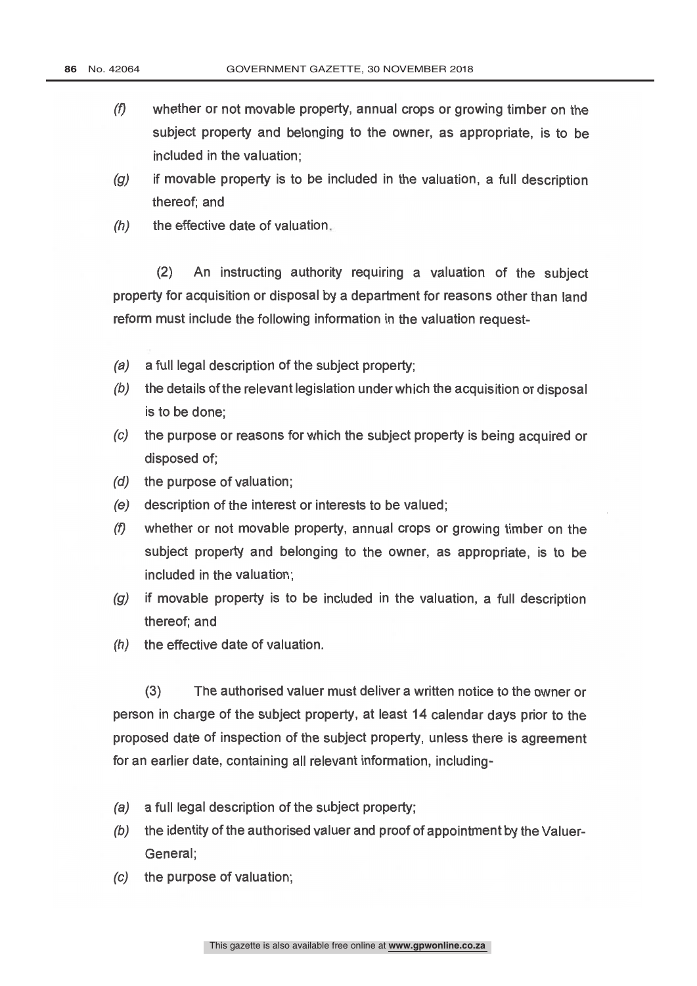- $(f)$  whether or not movable property, annual crops or growing timber on the subject property and belonging to the owner, as appropriate, is to be included in the valuation;
- $(g)$  if movable property is to be included in the valuation, a full description thereof; and
- $(h)$  the effective date of valuation.

(2) An instructing authority requiring a valuation of the subject property for acquisition or disposal by a department for reasons other than land reform must include the following information in the valuation request-

- (a) a full legal description of the subject property;
- $(b)$  the details of the relevant legislation under which the acquisition or disposal is to be done;
- (c) the purpose or reasons for which the subject property is being acquired or disposed of;
- (d) the purpose of valuation;
- (e) description of the interest or interests to be valued;
- (f) whether or not movable property, annual crops or growing timber on the subject property and belonging to the owner, as appropriate, is to be included in the valuation;
- $(q)$  if movable property is to be included in the valuation, a full description thereof; and
- (h) the effective date of valuation.

(3) The authorised valuer must deliver a written notice to the owner or person in charge of the subject property, at least 14 calendar days prior to the proposed date of inspection of the subject property, unless there is agreement for an earlier date, containing all relevant information, including-

- (a) a full legal description of the subject property;
- (b) the identity of the authorised valuer and proof of appointment by the Valuer-General;
- (c) the purpose of valuation;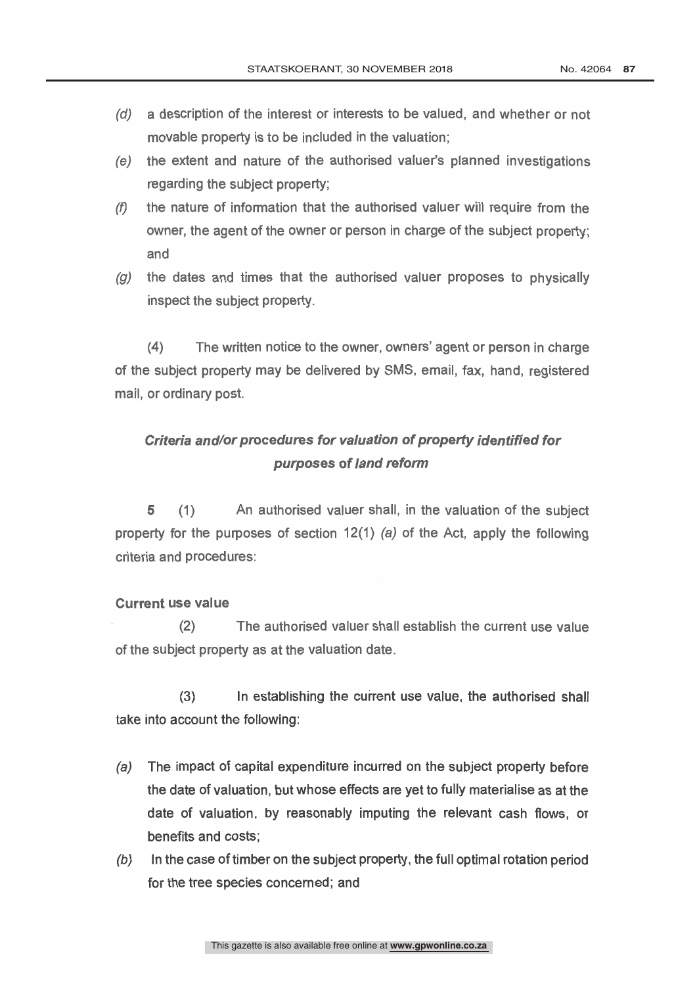- (d) a description of the interest or interests to be valued, and whether or not movable property is to be included in the valuation;
- (e) the extent and nature of the authorised valuer's planned investigations regarding the subject property;
- $(f)$  the nature of information that the authorised valuer will require from the owner, the agent of the owner or person in charge of the subject property; and
- $(q)$  the dates and times that the authorised valuer proposes to physically inspect the subject property.

(4) The written notice to the owner, owners' agent or person in charge of the subject property may be delivered by SMS, email, fax, hand, registered mail, or ordinary post.

# Criteria and/or procedures for valuation of property identified for purposes of land reform

5 (1) An authorised valuer shall, in the valuation of the subject property for the purposes of section 12(1) (a) of the Act, apply the following criteria and procedures:

### Current use value

(2) The authorised valuer shall establish the current use value of the subject property as at the valuation date.

 $(3)$ In establishing the current use value, the authorised shall take into account the following:

- (a) The impact of capital expenditure incurred on the subject property before the date of valuation, but whose effects are yet to fully materialise as at the date of valuation, by reasonably imputing the relevant cash flows, or benefits and costs;
- $(b)$  In the case of timber on the subject property, the full optimal rotation period for the tree species concerned; and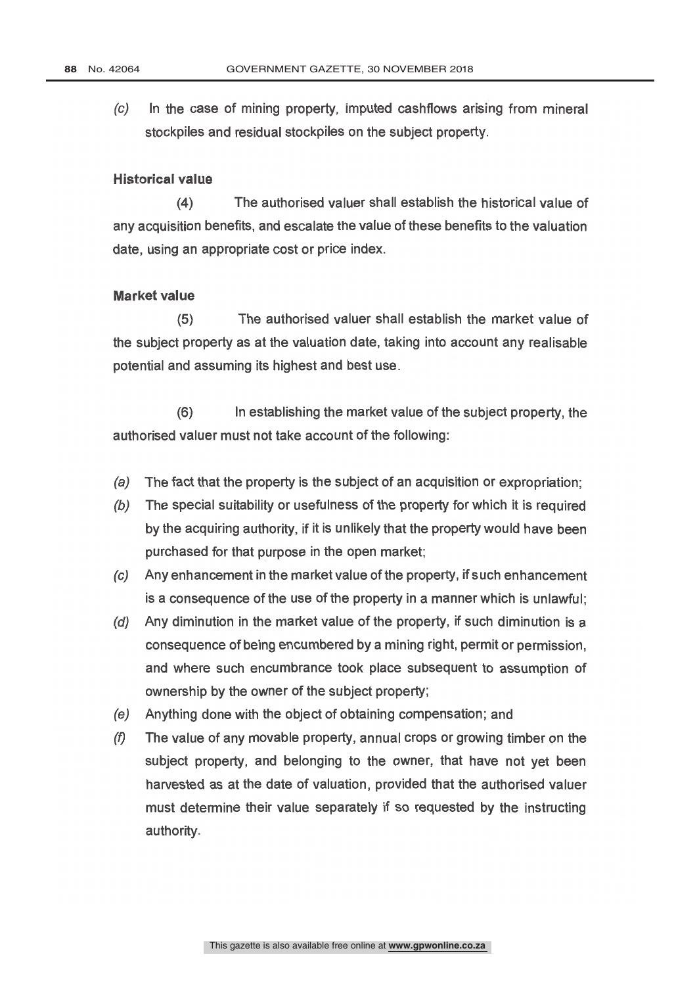(c) In the case of mining property, imputed cashflows arising from mineral stockpiles and residual stockpiles on the subject property.

#### **Historical value**

(4) The authorised valuer shall establish the historical value of any acquisition benefits, and escalate the value of these benefits to the valuation date, using an appropriate cost or price index.

#### Market value

(5) The authorised valuer shall establish the market value of the subject property as at the valuation date, taking into account any realisable potential and assuming its highest and best use.

(6) In establishing the market value of the subject property, the authorised valuer must not take account of the following:

- (a) The fact that the property is the subject of an acquisition or expropriation;
- (b) The special suitability or usefulness of the property for which it is required by the acquiring authority, if it is unlikely that the property would have been purchased for that purpose in the open market;
- (c) Any enhancement in the market value of the property, if such enhancement is a consequence of the use of the property in a manner which is unlawful;
- (d) Any diminution in the market value of the property, if such diminution is a consequence of being encumbered by a mining right, permit or permission, and where such encumbrance took place subsequent to assumption of ownership by the owner of the subject property;
- (e) Anything done with the object of obtaining compensation; and
- $(f)$  The value of any movable property, annual crops or growing timber on the subject property, and belonging to the owner, that have not yet been harvested as at the date of valuation, provided that the authorised valuer must determine their value separately if so requested by the instructing authority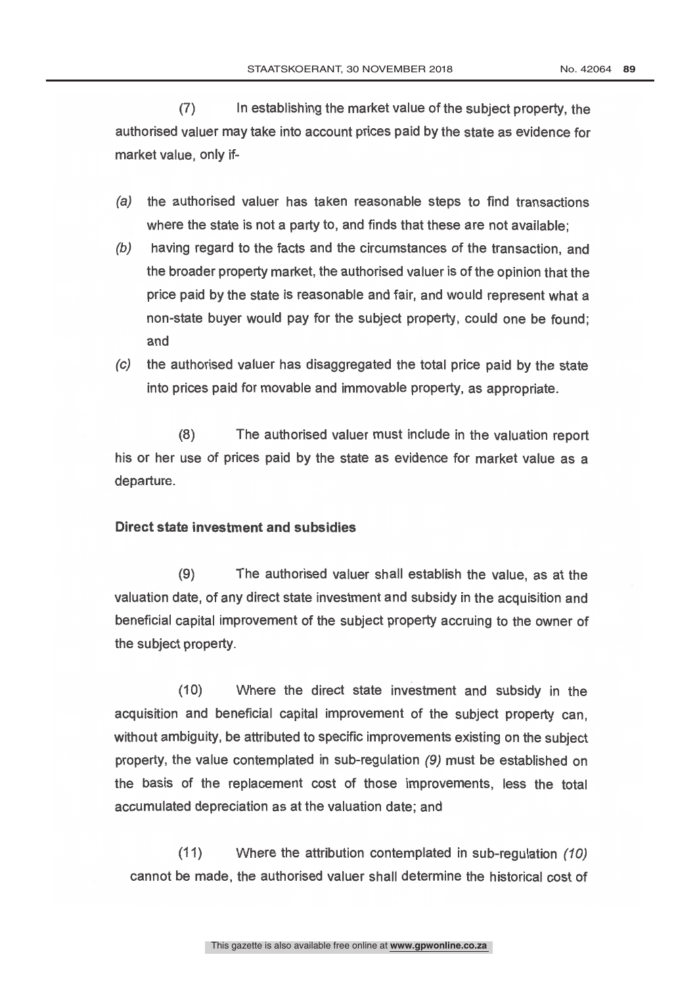(7) In establishing the market value of the subject property, the authorised valuer may take into account prices paid by the state as evidence for market value, only if-

- (a) the authorised valuer has taken reasonable steps to find transactions where the state is not a party to, and finds that these are not available;
- (b) having regard to the facts and the circumstances of the transaction, and the broader property market, the authorised valuer is of the opinion that the price paid by the state is reasonable and fair, and would represent what a non -state buyer would pay for the subject property, could one be found; and
- (c) the authorised valuer has disaggregated the total price paid by the state into prices paid for movable and immovable property, as appropriate.

(8) The authorised valuer must include in the valuation report his or her use of prices paid by the state as evidence for market value as a departure.

#### Direct state investment and subsidies

(9) The authorised valuer shall establish the value, as at the valuation date, of any direct state investment and subsidy in the acquisition and beneficial capital improvement of the subject property accruing to the owner of the subject property.

(10) Where the direct state investment and subsidy in the acquisition and beneficial capital improvement of the subject property can, without ambiguity, be attributed to specific improvements existing on the subject property, the value contemplated in sub-regulation (9) must be established on the basis of the replacement cost of those improvements, less the total accumulated depreciation as at the valuation date; and

(11) Where the attribution contemplated in sub-regulation  $(10)$ cannot be made, the authorised valuer shall determine the historical cost of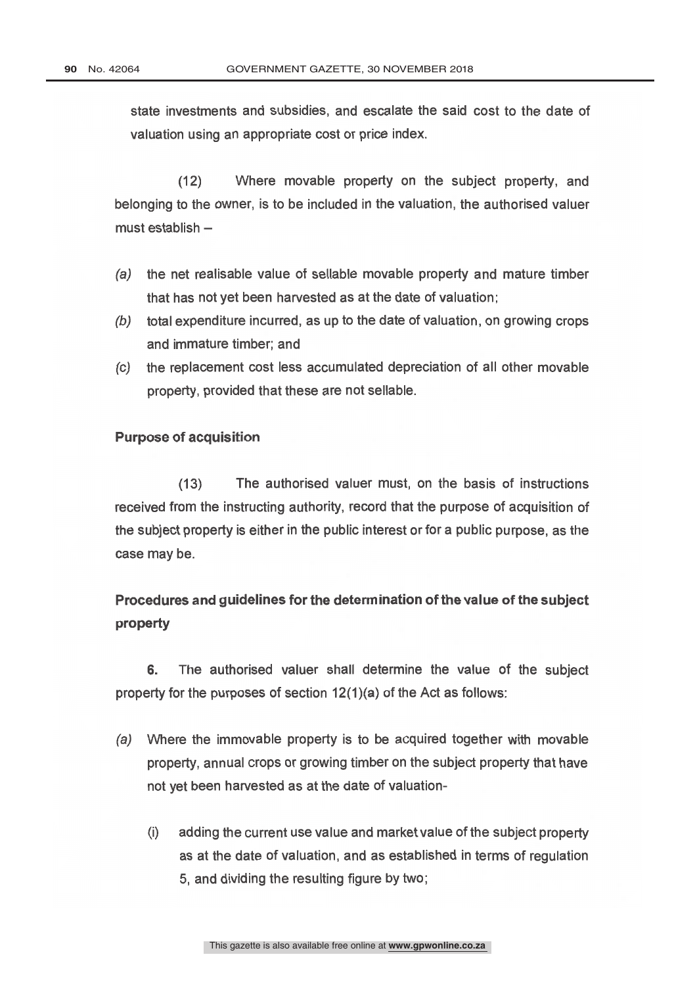state investments and subsidies, and escalate the said cost to the date of valuation using an appropriate cost or price index.

(12) Where movable property on the subject property, and belonging to the owner, is to be included in the valuation, the authorised valuer must establish

- (a) the net realisable value of sellable movable property and mature timber that has not yet been harvested as at the date of valuation;
- (b) total expenditure incurred, as up to the date of valuation, on growing crops and immature timber; and
- (c) the replacement cost less accumulated depreciation of all other movable property, provided that these are not sellable.

#### **Purpose of acquisition**

(13) The authorised valuer must, on the basis of instructions received from the instructing authority, record that the purpose of acquisition of the subject property is either in the public interest or for a public purpose, as the case may be.

# Procedures and guidelines for the determination of the value of the subject property

6. The authorised valuer shall determine the value of the subject property for the purposes of section 12(1)(a) of the Act as follows:

- (a) Where the immovable property is to be acquired together with movable property, annual crops or growing timber on the subject property that have not yet been harvested as at the date of valuation-
	- (i) adding the current use value and market value of the subject property as at the date of valuation, and as established in terms of regulation 5, and dividing the resulting figure by two;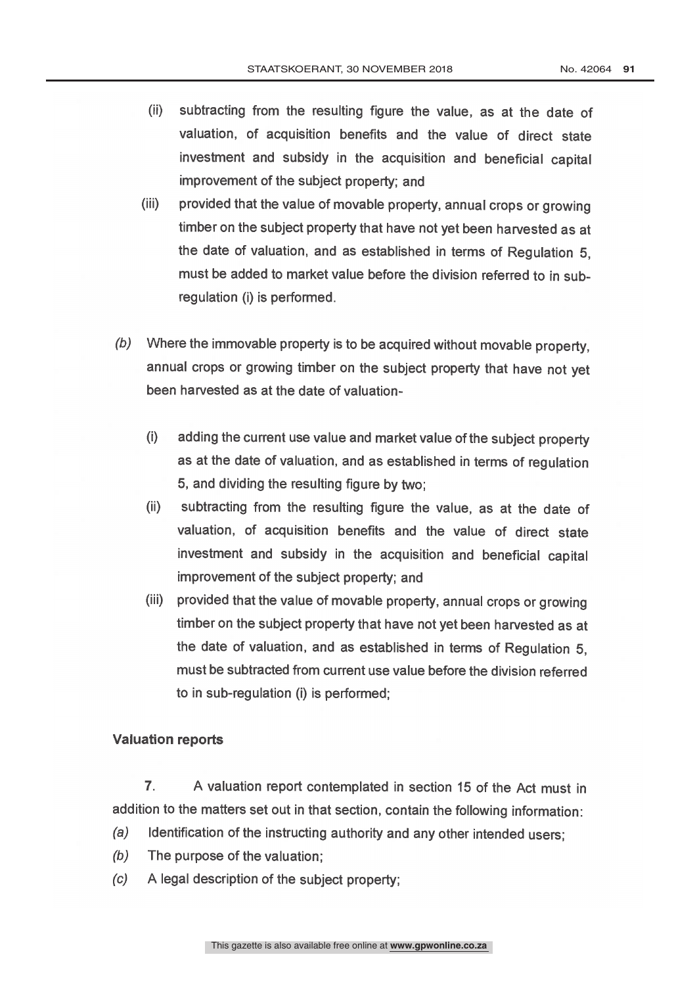- (ii) subtracting from the resulting figure the value, as at the date of valuation, of acquisition benefits and the value of direct state investment and subsidy in the acquisition and beneficial capital improvement of the subject property; and
- (iii) provided that the value of movable property, annual crops or growing timber on the subject property that have not yet been harvested as at the date of valuation, and as established in terms of Regulation 5, must be added to market value before the division referred to in sub regulation (i) is performed.
- (b) Where the immovable property is to be acquired without movable property, annual crops or growing timber on the subject property that have not yet been harvested as at the date of valuation-
	- (i) adding the current use value and market value of the subject property as at the date of valuation, and as established in terms of regulation 5, and dividing the resulting figure by two;
	- (ii) subtracting from the resulting figure the value, as at the date of valuation, of acquisition benefits and the value of direct state investment and subsidy in the acquisition and beneficial capital improvement of the subject property; and
	- (iii) provided that the value of movable property, annual crops or growing timber on the subject property that have not yet been harvested as at the date of valuation, and as established in terms of Regulation 5, must be subtracted from current use value before the division referred to in sub-regulation (i) is performed;

#### Valuation reports

7. A valuation report contemplated in section 15 of the Act must in addition to the matters set out in that section, contain the following information:

- (a) Identification of the instructing authority and any other intended users;
- (b) The purpose of the valuation;
- (c) A legal description of the subject property;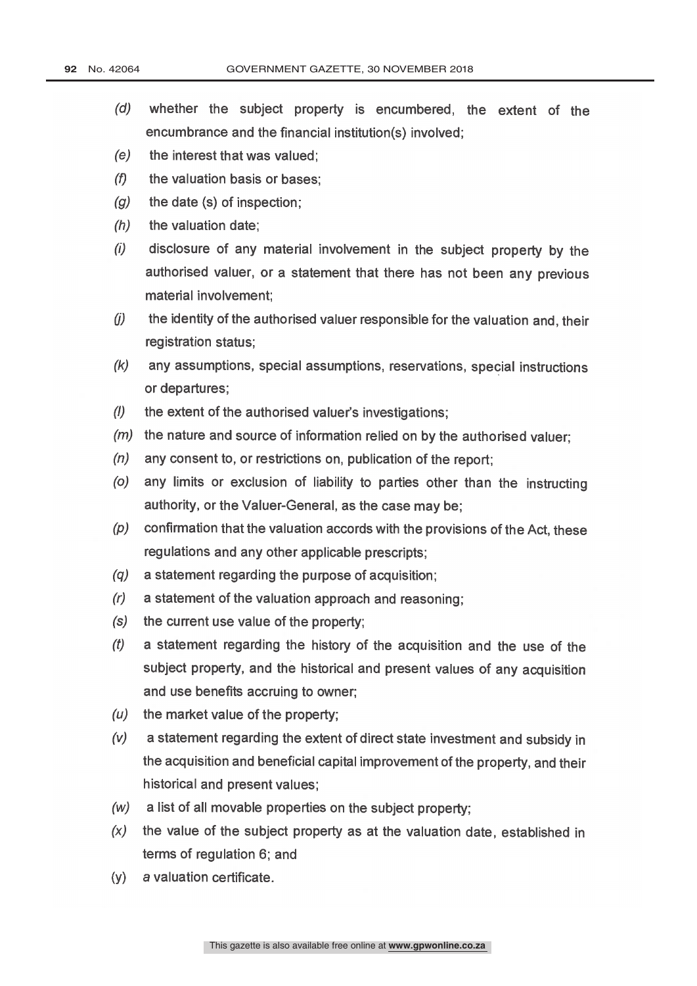- (d) whether the subject property is encumbered, the extent of the encumbrance and the financial institution(s) involved;
- (e) the interest that was valued;
- $(f)$  the valuation basis or bases:
- $(q)$  the date (s) of inspection;
- $(h)$  the valuation date;
- (i) disclosure of any material involvement in the subject property by the authorised valuer, or a statement that there has not been any previous material involvement;
- $(j)$  the identity of the authorised valuer responsible for the valuation and, their registration status;
- (k) any assumptions, special assumptions, reservations, special instructions or departures;
- $(1)$  the extent of the authorised valuer's investigations;
- $(m)$  the nature and source of information relied on by the authorised valuer;
- $(n)$  any consent to, or restrictions on, publication of the report;
- (o) any limits or exclusion of liability to parties other than the instructing authority, or the Valuer-General, as the case may be;
- $(p)$  confirmation that the valuation accords with the provisions of the Act, these regulations and any other applicable prescripts;
- (q) a statement regarding the purpose of acquisition;
- (r) a statement of the valuation approach and reasoning;
- (s) the current use value of the property;
- $(t)$  a statement regarding the history of the acquisition and the use of the subject property, and the historical and present values of any acquisition and use benefits accruing to owner;
- $(u)$  the market value of the property;
- (y) a statement regarding the extent of direct state investment and subsidy in the acquisition and beneficial capital improvement of the property, and their historical and present values;
- (w) a list of all movable properties on the subject property;
- $(x)$  the value of the subject property as at the valuation date, established in terms of regulation 6; and
- (y) a valuation certificate.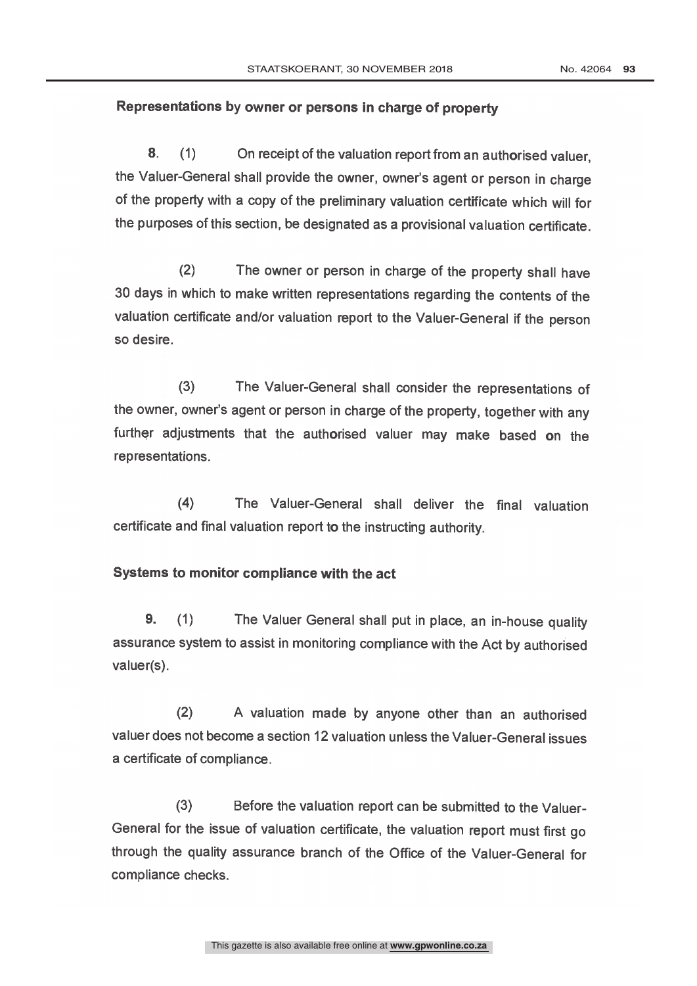#### Representations by owner or persons in charge of property

8. (1) On receipt of the valuation report from an authorised valuer, the Valuer-General shall provide the owner, owner's agent or person in charge of the property with a copy of the preliminary valuation certificate which will for the purposes of this section, be designated as a provisional valuation certificate.

(2) The owner or person in charge of the property shall have 30 days in which to make written representations regarding the contents of the valuation certificate and/or valuation report to the Valuer -General if the person so desire.

(3) The Valuer -General shall consider the representations of the owner, owner's agent or person in charge of the property, together with any further adjustments that the authorised valuer may make based on the representations.

(4) The Valuer -General shall deliver the final valuation certificate and final valuation report to the instructing authority

#### Systems to monitor compliance with the act

9. (1) The Valuer General shall put in place, an in -house quality assurance system to assist in monitoring compliance with the Act by authorised valuer(s).

(2) A valuation made by anyone other than an authorised valuer does not become a section 12 valuation unless the Valuer -General issues a certificate of compliance.

(3) Before the valuation report can be submitted to the Valuer- General for the issue of valuation certificate, the valuation report must first go through the quality assurance branch of the Office of the Valuer -General for compliance checks.